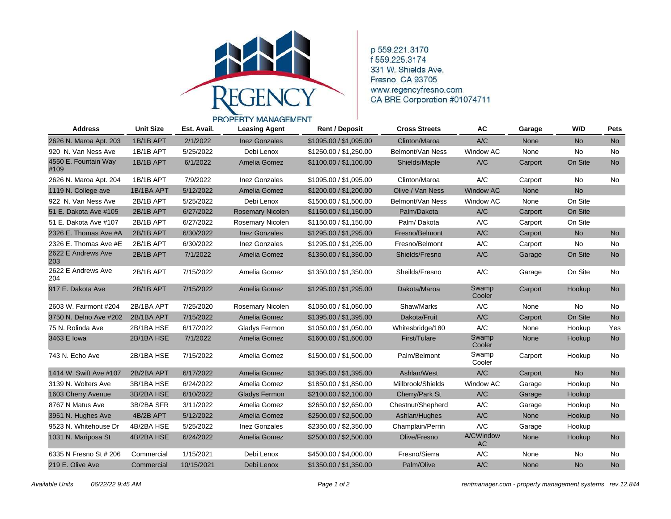

p 559.221.3170 f 559 225 3174 331 W. Shields Ave. Fresno, CA 93705 www.regencyfresno.com CA BRE Corporation #01074711

## PROPERTY MANAGEMENT **Address Unit Size Est. Avail. Leasing Agent Rent / Deposit Cross Streets AC Garage W/D Pets** 2626 N. Maroa Apt. 203 1B/1B APT 2/1/2022 Inez Gonzales \$1095.00 / \$1,095.00 Clinton/Maroa A/C None No No 920 N. Van Ness Ave 1B/1B APT 5/25/2022 Debi Lenox \$1250.00 / \$1,250.00 Belmont/Van Ness Window AC None No No 4550 E. Fountain Way 1B/1B APT 6/1/2022 Amelia Gomez \$1100.00 / \$1,100.00 Shields/Maple A/C Carport On Site No #109 2626 N. Maroa Apt. 204 1B/1B APT 7/9/2022 Inez Gonzales \$1095.00 / \$1,095.00 Clinton/Maroa A/C Carport No No 1119 N. College ave 1B/1BA APT 5/12/2022 Amelia Gomez \$1200.00 / \$1,200.00 Olive / Van Ness Window AC None No 922 N. Van Ness Ave 2B/1B APT 5/25/2022 Debi Lenox \$1500.00 / \$1,500.00 Belmont/Van Ness Window AC None On Site 51 E. Dakota Ave #105 2B/1B APT 6/27/2022 Rosemary Nicolen \$1150.00 / \$1,150.00 Palm/Dakota A/C Carport On Site 51 E. Dakota Ave #107 2B/1B APT 6/27/2022 Rosemary Nicolen \$1150.00 / \$1,150.00 Palm/ Dakota A/C Carport On Site 2326 E. Thomas Ave #A 2B/1B APT 6/30/2022 Inez Gonzales \$1295.00 / \$1,295.00 Fresno/Belmont A/C Carport No No 2326 E. Thomas Ave #E 2B/1B APT 6/30/2022 Inez Gonzales \$1295.00 / \$1,295.00 Fresno/Belmont A/C Carport No No 2622 E Andrews Ave 2B/1B APT 7/1/2022 Amelia Gomez \$1350.00 / \$1,350.00 Shields/Fresno A/C Garage On Site No 203 2622 E Andrews Ave 2B/1B APT 7/15/2022 Amelia Gomez \$1350.00 / \$1,350.00 Sheilds/Fresno A/C Garage On Site No 204 917 E. Dakota Ave 2B/1B APT 7/15/2022 Amelia Gomez \$1295.00 / \$1,295.00 Dakota/Maroa Swamp Carport Hookup No Cooler 2603 W. Fairmont #204 2B/1BA APT 7/25/2020 Rosemary Nicolen \$1050.00 / \$1,050.00 Shaw/Marks A/C None No No 3750 N. Delno Ave #202 2B/1BA APT 7/15/2022 Amelia Gomez \$1395.00 / \$1,395.00 Dakota/Fruit A/C Carport On Site No 75 N. Rolinda Ave 2B/1BA HSE 6/17/2022 Gladys Fermon \$1050.00 / \$1,050.00 Whitesbridge/180 A/C None Hookup Yes 3463 E Iowa 2B/1BA HSE 7/1/2022 Amelia Gomez \$1600.00 / \$1,600.00 First/Tulare Swamp None Hookup No Cooler 743 N. Echo Ave 2B/1BA HSE 7/15/2022 Amelia Gomez \$1500.00 / \$1,500.00 Palm/Belmont Swamp Carport Hookup No Cooler 1414 W. Swift Ave #107 2B/2BA APT 6/17/2022 Amelia Gomez \$1395.00 / \$1,395.00 Ashlan/West A/C Carport No No 3139 N. Wolters Ave 3B/1BA HSE 6/24/2022 Amelia Gomez \$1850.00 / \$1,850.00 Millbrook/Shields Window AC Garage Hookup No 1603 Cherry Avenue 3B/2BA HSE 6/10/2022 Gladys Fermon \$2100.00 / \$2,100.00 Cherry/Park St A/C Garage Hookup 8767 N Matus Ave 3B/2BA SFR 3/11/2022 Amelia Gomez \$2650.00 / \$2,650.00 Chestnut/Shepherd A/C Garage Hookup No 3951 N. Hughes Ave 4B/2B APT 5/12/2022 Amelia Gomez \$2500.00 / \$2,500.00 Ashlan/Hughes A/C None Hookup No 9523 N. Whitehouse Dr 4B/2BA HSE 5/25/2022 Inez Gonzales \$2350.00 / \$2,350.00 Champlain/Perrin A/C Garage Hookup 1031 N. Mariposa St 4B/2BA HSE 6/24/2022 Amelia Gomez \$2500.00 / \$2,500.00 Olive/Fresno A/CWindow None Hookup No AC 6335 N Fresno St # 206 Commercial 1/15/2021 Debi Lenox \$4500.00 / \$4,000.00 Fresno/Sierra A/C None No No 219 E. Olive Ave Commercial 10/15/2021 Debi Lenox \$1350.00 / \$1,350.00 Palm/Olive A/C None No No